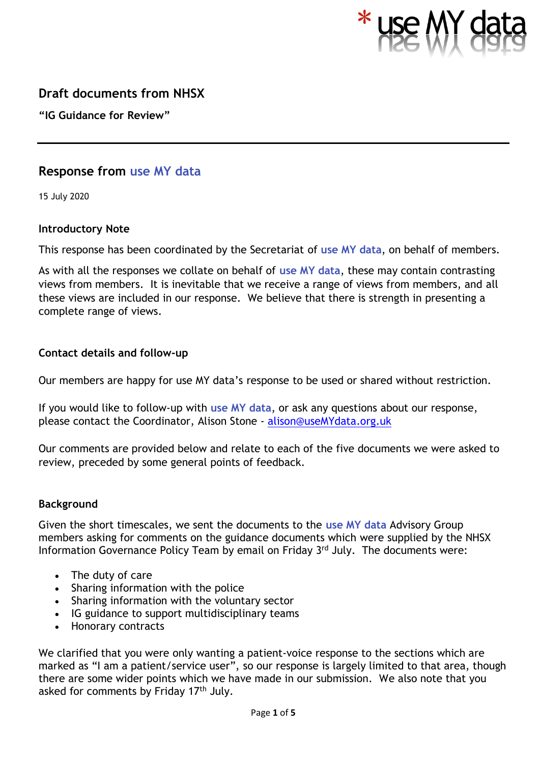

# **Draft documents from NHSX**

**"IG Guidance for Review"**

# **Response from use MY data**

15 July 2020

## **Introductory Note**

This response has been coordinated by the Secretariat of **use MY data**, on behalf of members.

As with all the responses we collate on behalf of **use MY data**, these may contain contrasting views from members. It is inevitable that we receive a range of views from members, and all these views are included in our response. We believe that there is strength in presenting a complete range of views.

## **Contact details and follow-up**

Our members are happy for use MY data's response to be used or shared without restriction.

If you would like to follow-up with **use MY data**, or ask any questions about our response, please contact the Coordinator, Alison Stone - [alison@useMYdata.org.uk](mailto:alison@useMYdata.org.uk)

Our comments are provided below and relate to each of the five documents we were asked to review, preceded by some general points of feedback.

### **Background**

Given the short timescales, we sent the documents to the **use MY data** Advisory Group members asking for comments on the guidance documents which were supplied by the NHSX Information Governance Policy Team by email on Friday 3rd July. The documents were:

- The duty of care
- Sharing information with the police
- Sharing information with the voluntary sector
- IG guidance to support multidisciplinary teams
- Honorary contracts

We clarified that you were only wanting a patient-voice response to the sections which are marked as "I am a patient/service user", so our response is largely limited to that area, though there are some wider points which we have made in our submission. We also note that you asked for comments by Friday  $17<sup>th</sup>$  July.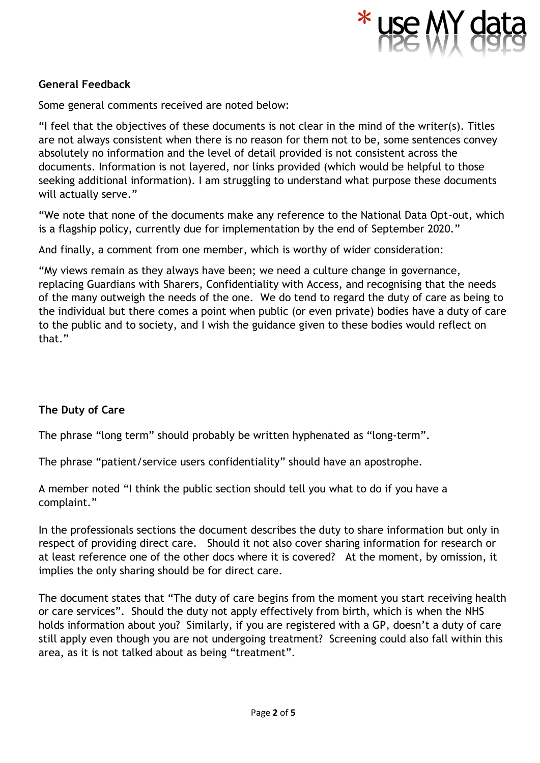

## **General Feedback**

Some general comments received are noted below:

"I feel that the objectives of these documents is not clear in the mind of the writer(s). Titles are not always consistent when there is no reason for them not to be, some sentences convey absolutely no information and the level of detail provided is not consistent across the documents. Information is not layered, nor links provided (which would be helpful to those seeking additional information). I am struggling to understand what purpose these documents will actually serve."

"We note that none of the documents make any reference to the National Data Opt-out, which is a flagship policy, currently due for implementation by the end of September 2020."

And finally, a comment from one member, which is worthy of wider consideration:

"My views remain as they always have been; we need a culture change in governance, replacing Guardians with Sharers, Confidentiality with Access, and recognising that the needs of the many outweigh the needs of the one. We do tend to regard the duty of care as being to the individual but there comes a point when public (or even private) bodies have a duty of care to the public and to society, and I wish the guidance given to these bodies would reflect on that."

### **The Duty of Care**

The phrase "long term" should probably be written hyphenated as "long-term".

The phrase "patient/service users confidentiality" should have an apostrophe.

A member noted "I think the public section should tell you what to do if you have a complaint."

In the professionals sections the document describes the duty to share information but only in respect of providing direct care. Should it not also cover sharing information for research or at least reference one of the other docs where it is covered? At the moment, by omission, it implies the only sharing should be for direct care.

The document states that "The duty of care begins from the moment you start receiving health or care services". Should the duty not apply effectively from birth, which is when the NHS holds information about you? Similarly, if you are registered with a GP, doesn't a duty of care still apply even though you are not undergoing treatment? Screening could also fall within this area, as it is not talked about as being "treatment".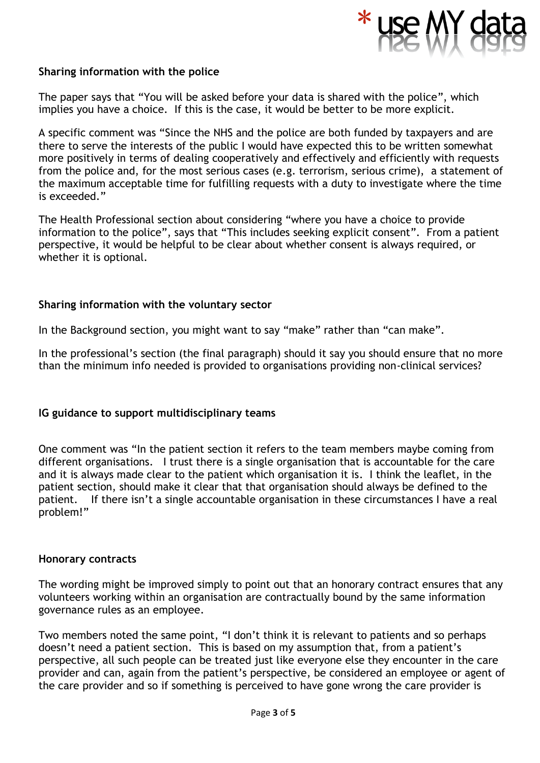

#### **Sharing information with the police**

The paper says that "You will be asked before your data is shared with the police", which implies you have a choice. If this is the case, it would be better to be more explicit.

A specific comment was "Since the NHS and the police are both funded by taxpayers and are there to serve the interests of the public I would have expected this to be written somewhat more positively in terms of dealing cooperatively and effectively and efficiently with requests from the police and, for the most serious cases (e.g. terrorism, serious crime), a statement of the maximum acceptable time for fulfilling requests with a duty to investigate where the time is exceeded."

The Health Professional section about considering "where you have a choice to provide information to the police", says that "This includes seeking explicit consent". From a patient perspective, it would be helpful to be clear about whether consent is always required, or whether it is optional.

#### **Sharing information with the voluntary sector**

In the Background section, you might want to say "make" rather than "can make".

In the professional's section (the final paragraph) should it say you should ensure that no more than the minimum info needed is provided to organisations providing non-clinical services?

#### **IG guidance to support multidisciplinary teams**

One comment was "In the patient section it refers to the team members maybe coming from different organisations. I trust there is a single organisation that is accountable for the care and it is always made clear to the patient which organisation it is. I think the leaflet, in the patient section, should make it clear that that organisation should always be defined to the patient. If there isn't a single accountable organisation in these circumstances I have a real problem!"

#### **Honorary contracts**

The wording might be improved simply to point out that an honorary contract ensures that any volunteers working within an organisation are contractually bound by the same information governance rules as an employee.

Two members noted the same point, "I don't think it is relevant to patients and so perhaps doesn't need a patient section. This is based on my assumption that, from a patient's perspective, all such people can be treated just like everyone else they encounter in the care provider and can, again from the patient's perspective, be considered an employee or agent of the care provider and so if something is perceived to have gone wrong the care provider is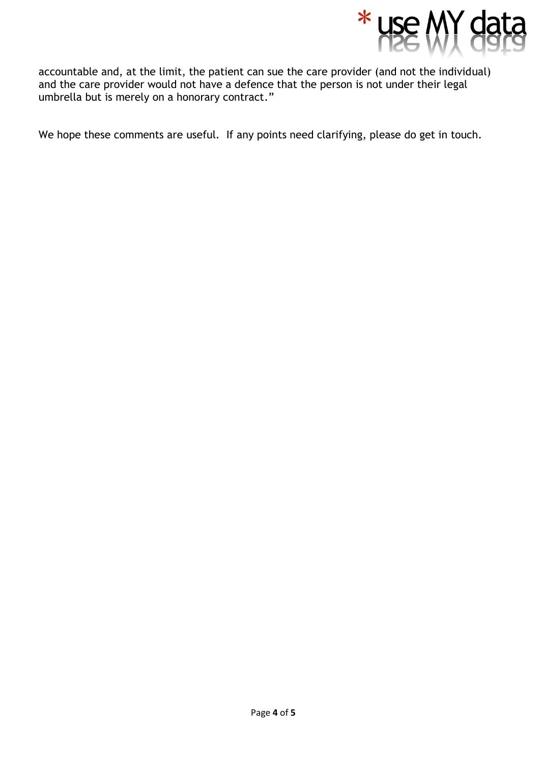

accountable and, at the limit, the patient can sue the care provider (and not the individual) and the care provider would not have a defence that the person is not under their legal umbrella but is merely on a honorary contract."

We hope these comments are useful. If any points need clarifying, please do get in touch.